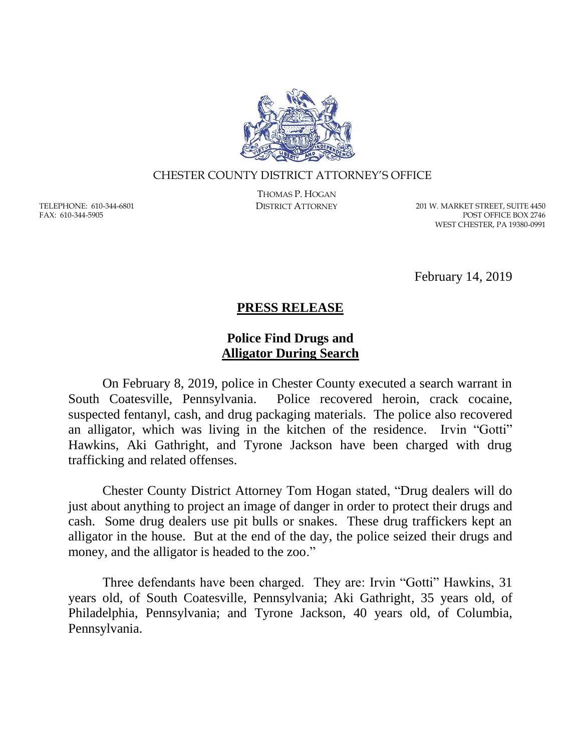

## CHESTER COUNTY DISTRICT ATTORNEY'S OFFICE

TELEPHONE: 610-344-6801 FAX: 610-344-5905

THOMAS P. HOGAN

DISTRICT ATTORNEY 201 W. MARKET STREET, SUITE 4450 POST OFFICE BOX 2746 WEST CHESTER, PA 19380-0991

February 14, 2019

## **PRESS RELEASE**

## **Police Find Drugs and Alligator During Search**

On February 8, 2019, police in Chester County executed a search warrant in South Coatesville, Pennsylvania. Police recovered heroin, crack cocaine, suspected fentanyl, cash, and drug packaging materials. The police also recovered an alligator, which was living in the kitchen of the residence. Irvin "Gotti" Hawkins, Aki Gathright, and Tyrone Jackson have been charged with drug trafficking and related offenses.

Chester County District Attorney Tom Hogan stated, "Drug dealers will do just about anything to project an image of danger in order to protect their drugs and cash. Some drug dealers use pit bulls or snakes. These drug traffickers kept an alligator in the house. But at the end of the day, the police seized their drugs and money, and the alligator is headed to the zoo."

Three defendants have been charged. They are: Irvin "Gotti" Hawkins, 31 years old, of South Coatesville, Pennsylvania; Aki Gathright, 35 years old, of Philadelphia, Pennsylvania; and Tyrone Jackson, 40 years old, of Columbia, Pennsylvania.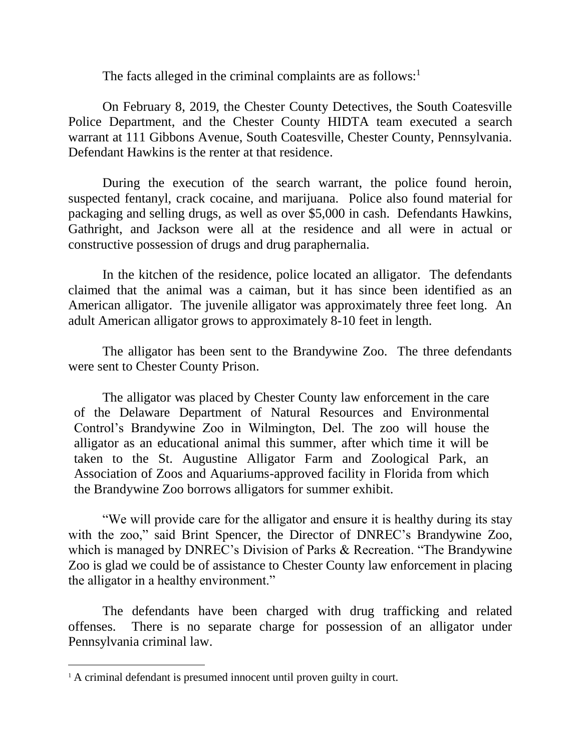The facts alleged in the criminal complaints are as follows: $<sup>1</sup>$ </sup>

On February 8, 2019, the Chester County Detectives, the South Coatesville Police Department, and the Chester County HIDTA team executed a search warrant at 111 Gibbons Avenue, South Coatesville, Chester County, Pennsylvania. Defendant Hawkins is the renter at that residence.

During the execution of the search warrant, the police found heroin, suspected fentanyl, crack cocaine, and marijuana. Police also found material for packaging and selling drugs, as well as over \$5,000 in cash. Defendants Hawkins, Gathright, and Jackson were all at the residence and all were in actual or constructive possession of drugs and drug paraphernalia.

In the kitchen of the residence, police located an alligator. The defendants claimed that the animal was a caiman, but it has since been identified as an American alligator. The juvenile alligator was approximately three feet long. An adult American alligator grows to approximately 8-10 feet in length.

The alligator has been sent to the Brandywine Zoo. The three defendants were sent to Chester County Prison.

The alligator was placed by Chester County law enforcement in the care of the Delaware Department of Natural Resources and Environmental Control's Brandywine Zoo in Wilmington, Del. The zoo will house the alligator as an educational animal this summer, after which time it will be taken to the St. Augustine Alligator Farm and Zoological Park, an Association of Zoos and Aquariums-approved facility in Florida from which the Brandywine Zoo borrows alligators for summer exhibit.

"We will provide care for the alligator and ensure it is healthy during its stay with the zoo," said Brint Spencer, the Director of DNREC's Brandywine Zoo, which is managed by DNREC's Division of Parks & Recreation. "The Brandywine" Zoo is glad we could be of assistance to Chester County law enforcement in placing the alligator in a healthy environment."

The defendants have been charged with drug trafficking and related offenses. There is no separate charge for possession of an alligator under Pennsylvania criminal law.

 $\overline{a}$ 

<sup>&</sup>lt;sup>1</sup> A criminal defendant is presumed innocent until proven guilty in court.